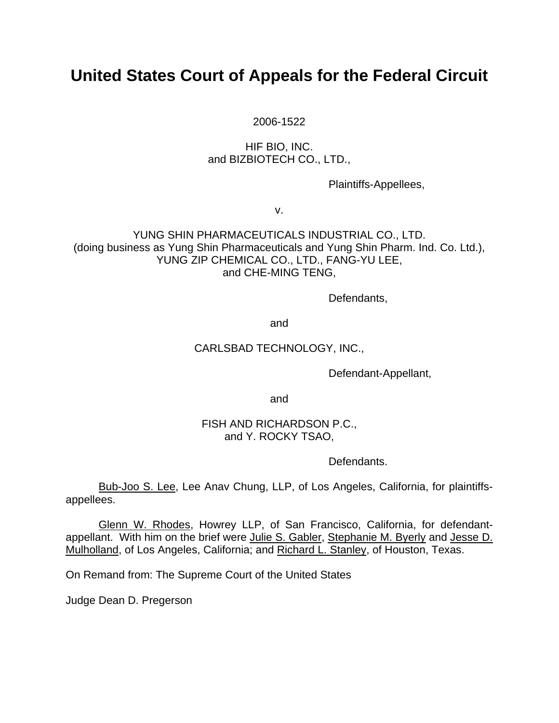# **United States Court of Appeals for the Federal Circuit**

2006-1522

# HIF BIO, INC. and BIZBIOTECH CO., LTD.,

Plaintiffs-Appellees,

v.

## YUNG SHIN PHARMACEUTICALS INDUSTRIAL CO., LTD. (doing business as Yung Shin Pharmaceuticals and Yung Shin Pharm. Ind. Co. Ltd.), YUNG ZIP CHEMICAL CO., LTD., FANG-YU LEE, and CHE-MING TENG,

Defendants,

and

## CARLSBAD TECHNOLOGY, INC.,

Defendant-Appellant,

and

## FISH AND RICHARDSON P.C., and Y. ROCKY TSAO,

Defendants.

Bub-Joo S. Lee, Lee Anav Chung, LLP, of Los Angeles, California, for plaintiffsappellees.

Glenn W. Rhodes, Howrey LLP, of San Francisco, California, for defendantappellant. With him on the brief were Julie S. Gabler, Stephanie M. Byerly and Jesse D. Mulholland, of Los Angeles, California; and Richard L. Stanley, of Houston, Texas.

On Remand from: The Supreme Court of the United States

Judge Dean D. Pregerson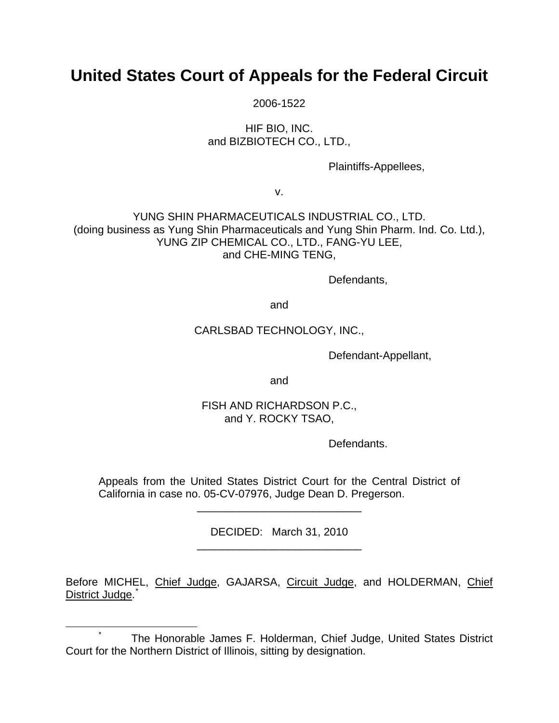# **United States Court of Appeals for the Federal Circuit**

2006-1522

HIF BIO, INC. and BIZBIOTECH CO., LTD.,

Plaintiffs-Appellees,

v.

YUNG SHIN PHARMACEUTICALS INDUSTRIAL CO., LTD. (doing business as Yung Shin Pharmaceuticals and Yung Shin Pharm. Ind. Co. Ltd.), YUNG ZIP CHEMICAL CO., LTD., FANG-YU LEE, and CHE-MING TENG,

Defendants,

and

## CARLSBAD TECHNOLOGY, INC.,

Defendant-Appellant,

and

# FISH AND RICHARDSON P.C., and Y. ROCKY TSAO,

Defendants.

Appeals from the United States District Court for the Central District of California in case no. 05-CV-07976, Judge Dean D. Pregerson.

\_\_\_\_\_\_\_\_\_\_\_\_\_\_\_\_\_\_\_\_\_\_\_\_\_\_\_

DECIDED: March 31, 2010 \_\_\_\_\_\_\_\_\_\_\_\_\_\_\_\_\_\_\_\_\_\_\_\_\_\_\_

Before MICHEL, Chief Judge, GAJARSA, Circuit Judge, and HOLDERMAN, Chief District Judge.<sup>[\\*](#page-1-0)</sup>

<span id="page-1-0"></span> <sup>\*</sup> \* The Honorable James F. Holderman, Chief Judge, United States District Court for the Northern District of Illinois, sitting by designation.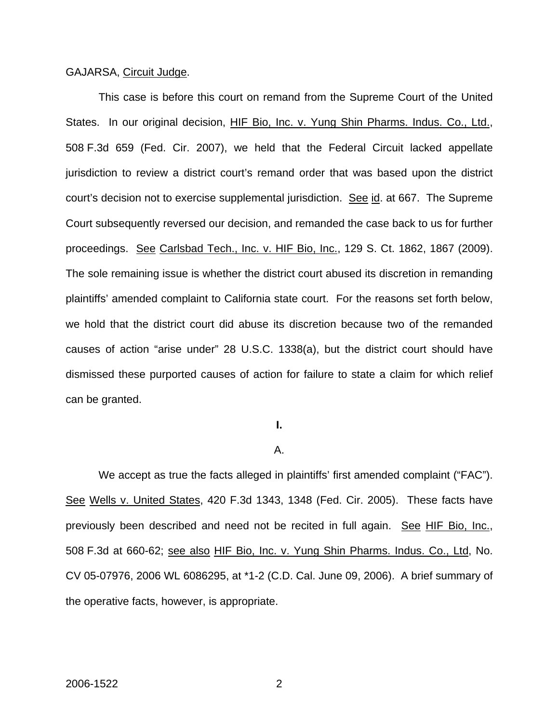## GAJARSA, Circuit Judge.

This case is before this court on remand from the Supreme Court of the United States. In our original decision, HIF Bio, Inc. v. Yung Shin Pharms. Indus. Co., Ltd., 508 F.3d 659 (Fed. Cir. 2007), we held that the Federal Circuit lacked appellate jurisdiction to review a district court's remand order that was based upon the district court's decision not to exercise supplemental jurisdiction. See id. at 667. The Supreme Court subsequently reversed our decision, and remanded the case back to us for further proceedings. See Carlsbad Tech., Inc. v. HIF Bio, Inc., 129 S. Ct. 1862, 1867 (2009). The sole remaining issue is whether the district court abused its discretion in remanding plaintiffs' amended complaint to California state court. For the reasons set forth below, we hold that the district court did abuse its discretion because two of the remanded causes of action "arise under" 28 U.S.C. 1338(a), but the district court should have dismissed these purported causes of action for failure to state a claim for which relief can be granted.

# **I.**

## A.

 We accept as true the facts alleged in plaintiffs' first amended complaint ("FAC"). See Wells v. United States, 420 F.3d 1343, 1348 (Fed. Cir. 2005). These facts have previously been described and need not be recited in full again. See HIF Bio, Inc., 508 F.3d at 660-62; see also HIF Bio, Inc. v. Yung Shin Pharms. Indus. Co., Ltd, No. CV 05-07976, 2006 WL 6086295, at \*1-2 (C.D. Cal. June 09, 2006). A brief summary of the operative facts, however, is appropriate.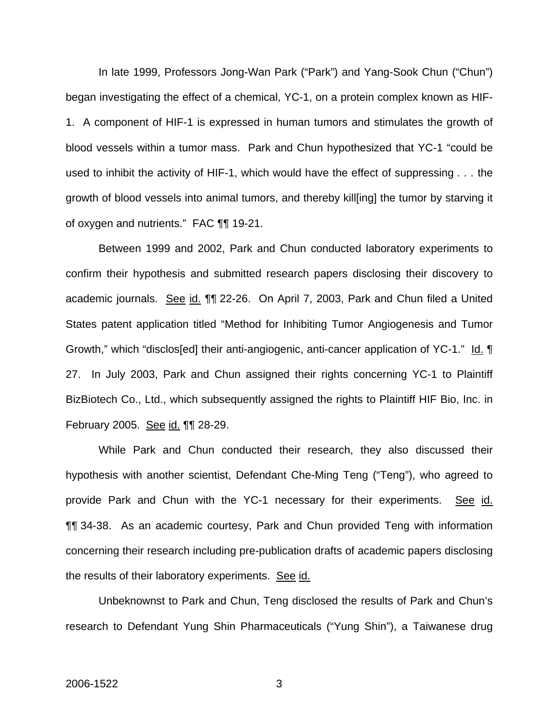In late 1999, Professors Jong-Wan Park ("Park") and Yang-Sook Chun ("Chun") began investigating the effect of a chemical, YC-1, on a protein complex known as HIF-1. A component of HIF-1 is expressed in human tumors and stimulates the growth of blood vessels within a tumor mass. Park and Chun hypothesized that YC-1 "could be used to inhibit the activity of HIF-1, which would have the effect of suppressing *. . .* the growth of blood vessels into animal tumors, and thereby kill[ing] the tumor by starving it of oxygen and nutrients." FAC ¶¶ 19-21.

Between 1999 and 2002, Park and Chun conducted laboratory experiments to confirm their hypothesis and submitted research papers disclosing their discovery to academic journals. See id. **[1]** 22-26. On April 7, 2003, Park and Chun filed a United States patent application titled "Method for Inhibiting Tumor Angiogenesis and Tumor Growth," which "disclos[ed] their anti-angiogenic, anti-cancer application of YC-1." Id. ¶ 27. In July 2003, Park and Chun assigned their rights concerning YC-1 to Plaintiff BizBiotech Co., Ltd., which subsequently assigned the rights to Plaintiff HIF Bio, Inc. in February 2005. See id. ¶¶ 28-29.

 While Park and Chun conducted their research, they also discussed their hypothesis with another scientist, Defendant Che-Ming Teng ("Teng"), who agreed to provide Park and Chun with the YC-1 necessary for their experiments. See id. ¶¶ 34-38. As an academic courtesy, Park and Chun provided Teng with information concerning their research including pre-publication drafts of academic papers disclosing the results of their laboratory experiments. See id.

 Unbeknownst to Park and Chun, Teng disclosed the results of Park and Chun's research to Defendant Yung Shin Pharmaceuticals ("Yung Shin"), a Taiwanese drug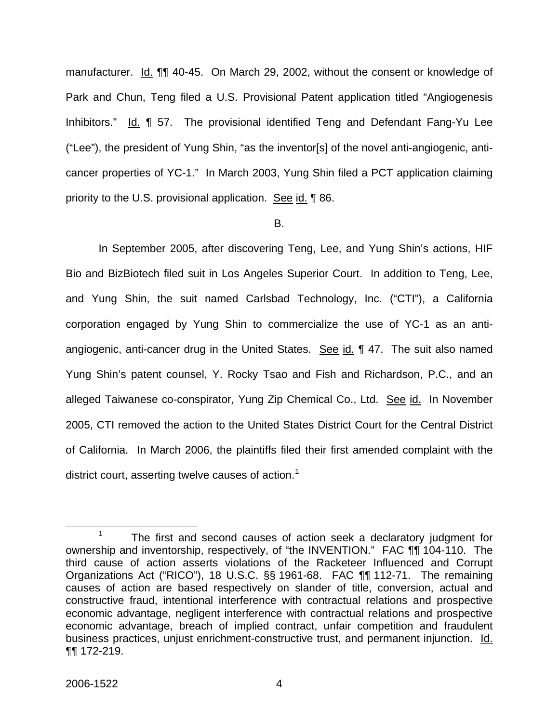manufacturer. Id. **[1]** 40-45. On March 29, 2002, without the consent or knowledge of Park and Chun, Teng filed a U.S. Provisional Patent application titled "Angiogenesis Inhibitors." Id. ¶ 57. The provisional identified Teng and Defendant Fang-Yu Lee ("Lee"), the president of Yung Shin, "as the inventor[s] of the novel anti-angiogenic, anticancer properties of YC-1." In March 2003, Yung Shin filed a PCT application claiming priority to the U.S. provisional application. See id. 186.

## B.

 In September 2005, after discovering Teng, Lee, and Yung Shin's actions, HIF Bio and BizBiotech filed suit in Los Angeles Superior Court. In addition to Teng, Lee, and Yung Shin, the suit named Carlsbad Technology, Inc. ("CTI"), a California corporation engaged by Yung Shin to commercialize the use of YC-1 as an antiangiogenic, anti-cancer drug in the United States. See id. 147. The suit also named Yung Shin's patent counsel, Y. Rocky Tsao and Fish and Richardson, P.C., and an alleged Taiwanese co-conspirator, Yung Zip Chemical Co., Ltd. See id. In November 2005, CTI removed the action to the United States District Court for the Central District of California. In March 2006, the plaintiffs filed their first amended complaint with the district court, asserting twelve causes of action.<sup>[1](#page-4-0)</sup>

<span id="page-4-0"></span> <sup>1</sup>  $1$  The first and second causes of action seek a declaratory judgment for ownership and inventorship, respectively, of "the INVENTION." FAC ¶¶ 104-110. The third cause of action asserts violations of the Racketeer Influenced and Corrupt Organizations Act ("RICO"), 18 U.S.C. §§ 1961-68. FAC ¶¶ 112-71. The remaining causes of action are based respectively on slander of title, conversion, actual and constructive fraud, intentional interference with contractual relations and prospective economic advantage, negligent interference with contractual relations and prospective economic advantage, breach of implied contract, unfair competition and fraudulent business practices, unjust enrichment-constructive trust, and permanent injunction. Id. ¶¶ 172-219.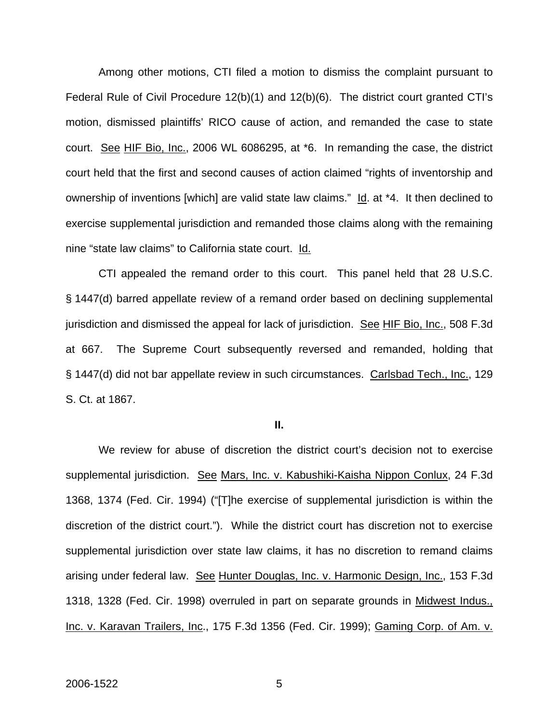Among other motions, CTI filed a motion to dismiss the complaint pursuant to Federal Rule of Civil Procedure 12(b)(1) and 12(b)(6). The district court granted CTI's motion, dismissed plaintiffs' RICO cause of action, and remanded the case to state court. See HIF Bio, Inc., 2006 WL 6086295, at \*6. In remanding the case, the district court held that the first and second causes of action claimed "rights of inventorship and ownership of inventions [which] are valid state law claims." Id. at \*4. It then declined to exercise supplemental jurisdiction and remanded those claims along with the remaining nine "state law claims" to California state court. Id.

 CTI appealed the remand order to this court. This panel held that 28 U.S.C. § 1447(d) barred appellate review of a remand order based on declining supplemental jurisdiction and dismissed the appeal for lack of jurisdiction. See HIF Bio, Inc., 508 F.3d at 667. The Supreme Court subsequently reversed and remanded, holding that § 1447(d) did not bar appellate review in such circumstances. Carlsbad Tech., Inc., 129 S. Ct. at 1867.

#### **II.**

We review for abuse of discretion the district court's decision not to exercise supplemental jurisdiction. See Mars, Inc. v. Kabushiki-Kaisha Nippon Conlux, 24 F.3d 1368, 1374 (Fed. Cir. 1994) ("[T]he exercise of supplemental jurisdiction is within the discretion of the district court."). While the district court has discretion not to exercise supplemental jurisdiction over state law claims, it has no discretion to remand claims arising under federal law. See Hunter Douglas, Inc. v. Harmonic Design, Inc., 153 F.3d 1318, 1328 (Fed. Cir. 1998) overruled in part on separate grounds in Midwest Indus., Inc. v. Karavan Trailers, Inc., 175 F.3d 1356 (Fed. Cir. 1999); Gaming Corp. of Am. v.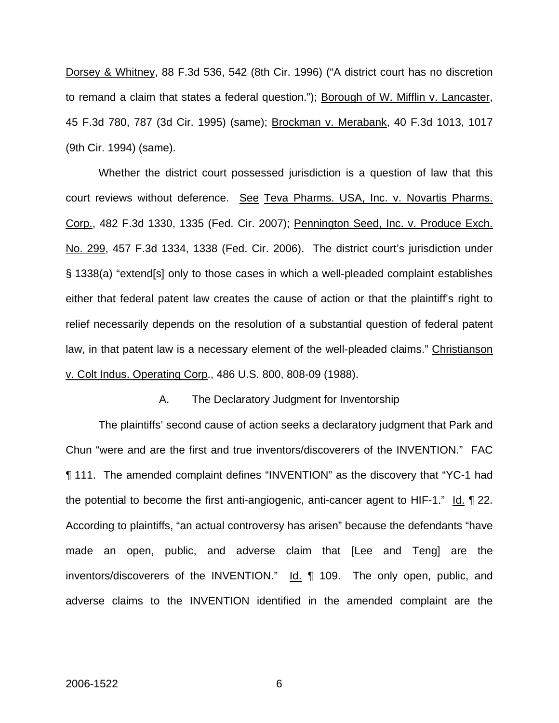Dorsey & Whitney, 88 F.3d 536, 542 (8th Cir. 1996) ("A district court has no discretion to remand a claim that states a federal question."); Borough of W. Mifflin v. Lancaster, 45 F.3d 780, 787 (3d Cir. 1995) (same); Brockman v. Merabank, 40 F.3d 1013, 1017 (9th Cir. 1994) (same).

Whether the district court possessed jurisdiction is a question of law that this court reviews without deference. See Teva Pharms. USA, Inc. v. Novartis Pharms. Corp., 482 F.3d 1330, 1335 (Fed. Cir. 2007); Pennington Seed, Inc. v. Produce Exch. No. 299, 457 F.3d 1334, 1338 (Fed. Cir. 2006). The district court's jurisdiction under § 1338(a) "extend[s] only to those cases in which a well-pleaded complaint establishes either that federal patent law creates the cause of action or that the plaintiff's right to relief necessarily depends on the resolution of a substantial question of federal patent law, in that patent law is a necessary element of the well-pleaded claims." Christianson v. Colt Indus. Operating Corp., 486 U.S. 800, 808-09 (1988).

A. The Declaratory Judgment for Inventorship

The plaintiffs' second cause of action seeks a declaratory judgment that Park and Chun "were and are the first and true inventors/discoverers of the INVENTION." FAC ¶ 111. The amended complaint defines "INVENTION" as the discovery that "YC-1 had the potential to become the first anti-angiogenic, anti-cancer agent to HIF-1." Id. ¶ 22. According to plaintiffs, "an actual controversy has arisen" because the defendants "have made an open, public, and adverse claim that [Lee and Teng] are the inventors/discoverers of the INVENTION."  $\text{Id.}$  109. The only open, public, and adverse claims to the INVENTION identified in the amended complaint are the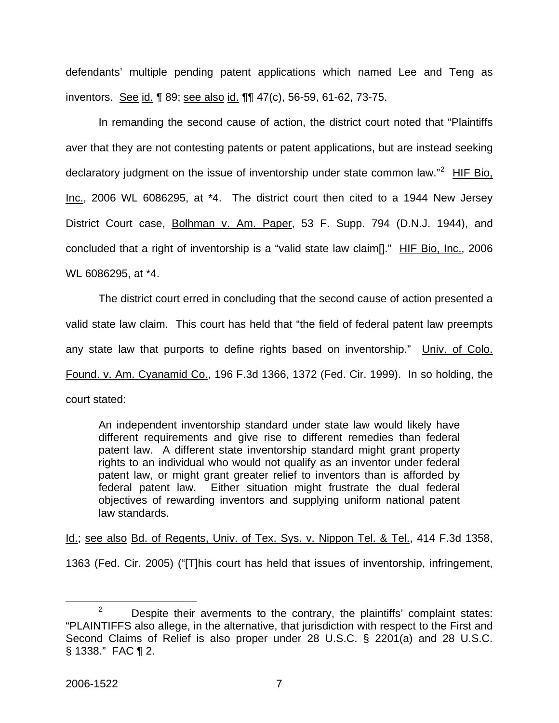defendants' multiple pending patent applications which named Lee and Teng as inventors. See id. 1 89; see also id. 11 47(c), 56-59, 61-62, 73-75.

In remanding the second cause of action, the district court noted that "Plaintiffs aver that they are not contesting patents or patent applications, but are instead seeking declaratory judgment on the issue of inventorship under state common law."<sup>[2](#page-7-0)</sup> HIF Bio, Inc., 2006 WL 6086295, at \*4. The district court then cited to a 1944 New Jersey District Court case, Bolhman v. Am. Paper, 53 F. Supp. 794 (D.N.J. 1944), and concluded that a right of inventorship is a "valid state law claim[]." HIF Bio, Inc., 2006 WL 6086295, at \*4.

The district court erred in concluding that the second cause of action presented a valid state law claim. This court has held that "the field of federal patent law preempts any state law that purports to define rights based on inventorship." Univ. of Colo. Found. v. Am. Cyanamid Co., 196 F.3d 1366, 1372 (Fed. Cir. 1999). In so holding, the court stated:

An independent inventorship standard under state law would likely have different requirements and give rise to different remedies than federal patent law. A different state inventorship standard might grant property rights to an individual who would not qualify as an inventor under federal patent law, or might grant greater relief to inventors than is afforded by federal patent law. Either situation might frustrate the dual federal objectives of rewarding inventors and supplying uniform national patent law standards.

Id.; see also Bd. of Regents, Univ. of Tex. Sys. v. Nippon Tel. & Tel., 414 F.3d 1358,

1363 (Fed. Cir. 2005) ("[T]his court has held that issues of inventorship, infringement,

<span id="page-7-0"></span> $\frac{1}{2}$  $2^2$  Despite their averments to the contrary, the plaintiffs' complaint states: "PLAINTIFFS also allege, in the alternative, that jurisdiction with respect to the First and Second Claims of Relief is also proper under 28 U.S.C. § 2201(a) and 28 U.S.C. § 1338." FAC ¶ 2.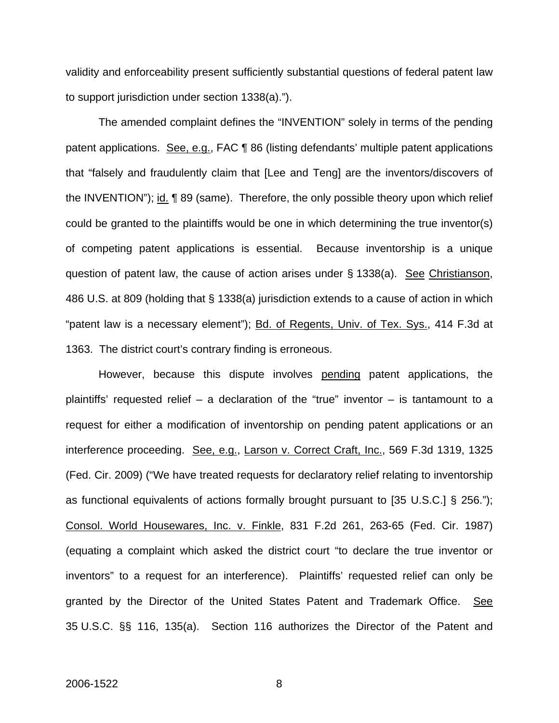validity and enforceability present sufficiently substantial questions of federal patent law to support jurisdiction under section 1338(a).").

The amended complaint defines the "INVENTION" solely in terms of the pending patent applications. See, e.g., FAC 186 (listing defendants' multiple patent applications that "falsely and fraudulently claim that [Lee and Teng] are the inventors/discovers of the INVENTION"); id. 1 89 (same). Therefore, the only possible theory upon which relief could be granted to the plaintiffs would be one in which determining the true inventor(s) of competing patent applications is essential. Because inventorship is a unique question of patent law, the cause of action arises under  $\S$  1338(a). See Christianson, 486 U.S. at 809 (holding that § 1338(a) jurisdiction extends to a cause of action in which "patent law is a necessary element"); Bd. of Regents, Univ. of Tex. Sys., 414 F.3d at 1363. The district court's contrary finding is erroneous.

However, because this dispute involves pending patent applications, the plaintiffs' requested relief  $-$  a declaration of the "true" inventor  $-$  is tantamount to a request for either a modification of inventorship on pending patent applications or an interference proceeding. See, e.g., Larson v. Correct Craft, Inc., 569 F.3d 1319, 1325 (Fed. Cir. 2009) ("We have treated requests for declaratory relief relating to inventorship as functional equivalents of actions formally brought pursuant to [35 U.S.C.] § 256."); Consol. World Housewares, Inc. v. Finkle, 831 F.2d 261, 263-65 (Fed. Cir. 1987) (equating a complaint which asked the district court "to declare the true inventor or inventors" to a request for an interference). Plaintiffs' requested relief can only be granted by the Director of the United States Patent and Trademark Office. See 35 U.S.C. §§ 116, 135(a). Section 116 authorizes the Director of the Patent and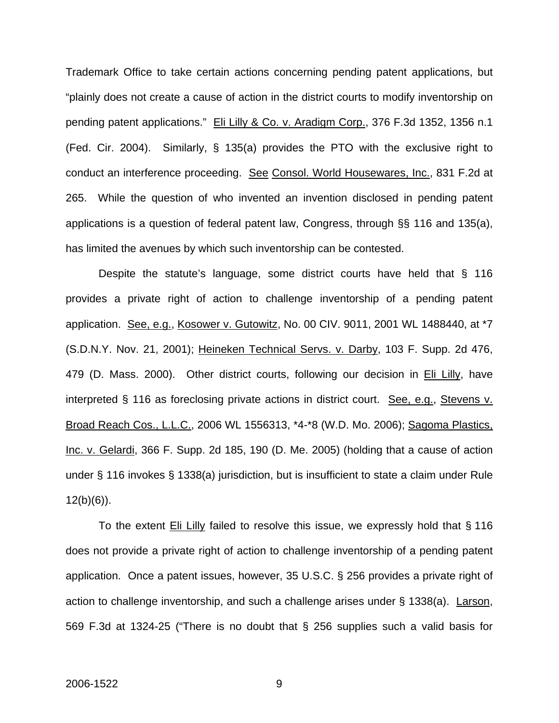Trademark Office to take certain actions concerning pending patent applications, but "plainly does not create a cause of action in the district courts to modify inventorship on pending patent applications." Eli Lilly & Co. v. Aradigm Corp., 376 F.3d 1352, 1356 n.1 (Fed. Cir. 2004). Similarly, § 135(a) provides the PTO with the exclusive right to conduct an interference proceeding. See Consol. World Housewares, Inc., 831 F.2d at 265. While the question of who invented an invention disclosed in pending patent applications is a question of federal patent law, Congress, through §§ 116 and 135(a), has limited the avenues by which such inventorship can be contested.

Despite the statute's language, some district courts have held that § 116 provides a private right of action to challenge inventorship of a pending patent application. See, e.g., Kosower v. Gutowitz, No. 00 CIV. 9011, 2001 WL 1488440, at \*7 (S.D.N.Y. Nov. 21, 2001); Heineken Technical Servs. v. Darby, 103 F. Supp. 2d 476, 479 (D. Mass. 2000). Other district courts, following our decision in Eli Lilly, have interpreted § 116 as foreclosing private actions in district court. See, e.g., Stevens v. Broad Reach Cos., L.L.C., 2006 WL 1556313, \*4-\*8 (W.D. Mo. 2006); Sagoma Plastics, Inc. v. Gelardi, 366 F. Supp. 2d 185, 190 (D. Me. 2005) (holding that a cause of action under § 116 invokes § 1338(a) jurisdiction, but is insufficient to state a claim under Rule  $12(b)(6)$ ).

To the extent **Eli Lilly** failed to resolve this issue, we expressly hold that § 116 does not provide a private right of action to challenge inventorship of a pending patent application. Once a patent issues, however, 35 U.S.C. § 256 provides a private right of action to challenge inventorship, and such a challenge arises under § 1338(a). Larson, 569 F.3d at 1324-25 ("There is no doubt that § 256 supplies such a valid basis for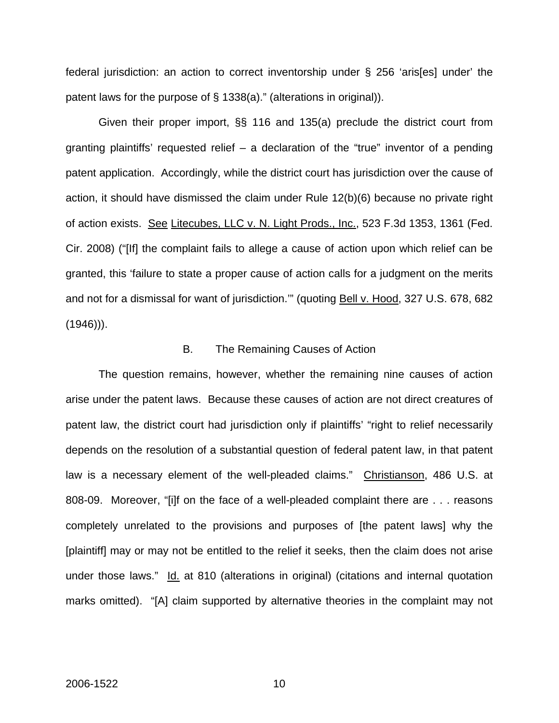federal jurisdiction: an action to correct inventorship under § 256 'aris[es] under' the patent laws for the purpose of § 1338(a)." (alterations in original)).

Given their proper import, §§ 116 and 135(a) preclude the district court from granting plaintiffs' requested relief – a declaration of the "true" inventor of a pending patent application. Accordingly, while the district court has jurisdiction over the cause of action, it should have dismissed the claim under Rule 12(b)(6) because no private right of action exists. See Litecubes, LLC v. N. Light Prods., Inc., 523 F.3d 1353, 1361 (Fed. Cir. 2008) ("[If] the complaint fails to allege a cause of action upon which relief can be granted, this 'failure to state a proper cause of action calls for a judgment on the merits and not for a dismissal for want of jurisdiction."" (quoting Bell v. Hood, 327 U.S. 678, 682  $(1946)$ ).

#### B. The Remaining Causes of Action

The question remains, however, whether the remaining nine causes of action arise under the patent laws. Because these causes of action are not direct creatures of patent law, the district court had jurisdiction only if plaintiffs' "right to relief necessarily depends on the resolution of a substantial question of federal patent law, in that patent law is a necessary element of the well-pleaded claims." Christianson, 486 U.S. at 808-09. Moreover, "[i]f on the face of a well-pleaded complaint there are . . . reasons completely unrelated to the provisions and purposes of [the patent laws] why the [plaintiff] may or may not be entitled to the relief it seeks, then the claim does not arise under those laws." Id. at 810 (alterations in original) (citations and internal quotation marks omitted). "[A] claim supported by alternative theories in the complaint may not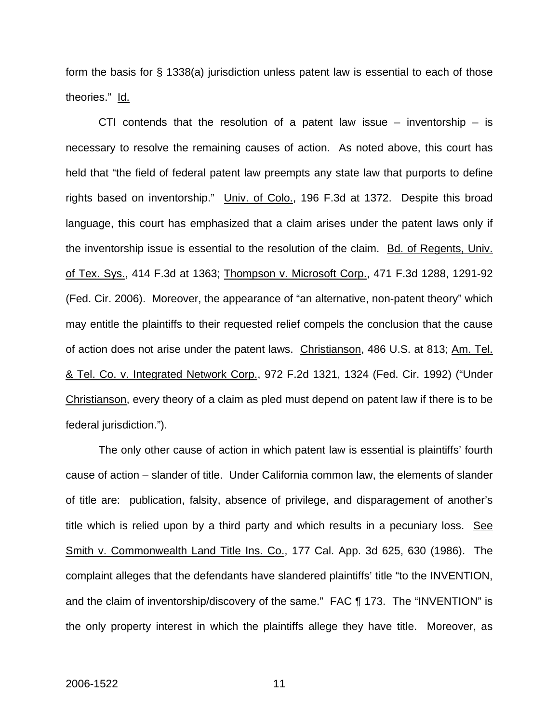form the basis for § 1338(a) jurisdiction unless patent law is essential to each of those theories." Id.

CTI contends that the resolution of a patent law issue  $-$  inventorship  $-$  is necessary to resolve the remaining causes of action. As noted above, this court has held that "the field of federal patent law preempts any state law that purports to define rights based on inventorship." Univ. of Colo., 196 F.3d at 1372. Despite this broad language, this court has emphasized that a claim arises under the patent laws only if the inventorship issue is essential to the resolution of the claim. Bd. of Regents, Univ. of Tex. Sys., 414 F.3d at 1363; Thompson v. Microsoft Corp., 471 F.3d 1288, 1291-92 (Fed. Cir. 2006). Moreover, the appearance of "an alternative, non-patent theory" which may entitle the plaintiffs to their requested relief compels the conclusion that the cause of action does not arise under the patent laws. Christianson, 486 U.S. at 813; Am. Tel. & Tel. Co. v. Integrated Network Corp., 972 F.2d 1321, 1324 (Fed. Cir. 1992) ("Under Christianson, every theory of a claim as pled must depend on patent law if there is to be federal jurisdiction.").

 The only other cause of action in which patent law is essential is plaintiffs' fourth cause of action – slander of title. Under California common law, the elements of slander of title are: publication, falsity, absence of privilege, and disparagement of another's title which is relied upon by a third party and which results in a pecuniary loss. See Smith v. Commonwealth Land Title Ins. Co., 177 Cal. App. 3d 625, 630 (1986). The complaint alleges that the defendants have slandered plaintiffs' title "to the INVENTION, and the claim of inventorship/discovery of the same." FAC ¶ 173. The "INVENTION" is the only property interest in which the plaintiffs allege they have title. Moreover, as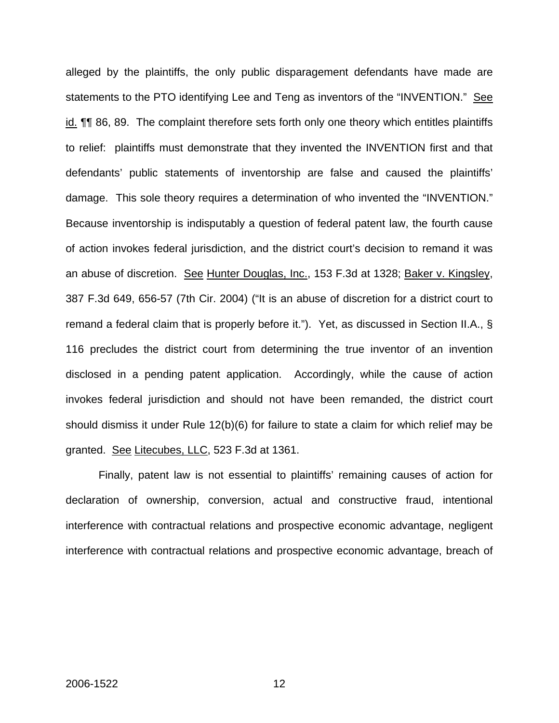alleged by the plaintiffs, the only public disparagement defendants have made are statements to the PTO identifying Lee and Teng as inventors of the "INVENTION." See id. ¶¶ 86, 89. The complaint therefore sets forth only one theory which entitles plaintiffs to relief: plaintiffs must demonstrate that they invented the INVENTION first and that defendants' public statements of inventorship are false and caused the plaintiffs' damage. This sole theory requires a determination of who invented the "INVENTION." Because inventorship is indisputably a question of federal patent law, the fourth cause of action invokes federal jurisdiction, and the district court's decision to remand it was an abuse of discretion. See Hunter Douglas, Inc., 153 F.3d at 1328; Baker v. Kingsley, 387 F.3d 649, 656-57 (7th Cir. 2004) ("It is an abuse of discretion for a district court to remand a federal claim that is properly before it."). Yet, as discussed in Section II.A., § 116 precludes the district court from determining the true inventor of an invention disclosed in a pending patent application. Accordingly, while the cause of action invokes federal jurisdiction and should not have been remanded, the district court should dismiss it under Rule 12(b)(6) for failure to state a claim for which relief may be granted. See Litecubes, LLC, 523 F.3d at 1361.

 Finally, patent law is not essential to plaintiffs' remaining causes of action for declaration of ownership, conversion, actual and constructive fraud, intentional interference with contractual relations and prospective economic advantage, negligent interference with contractual relations and prospective economic advantage, breach of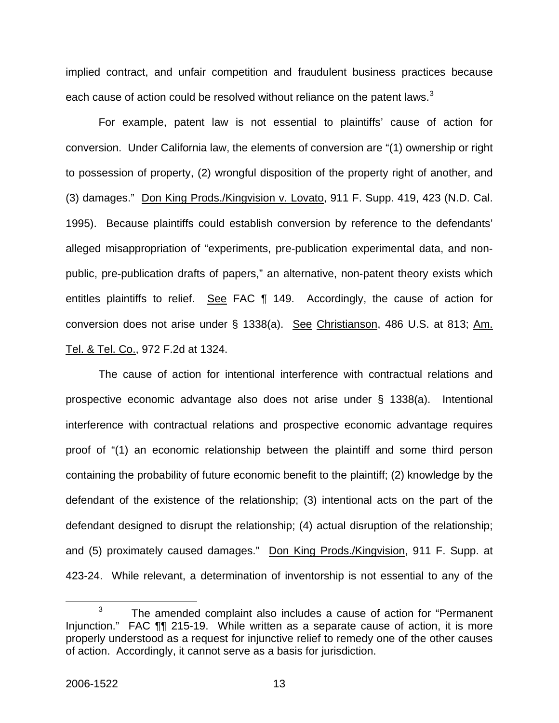implied contract, and unfair competition and fraudulent business practices because each cause of action could be resolved without reliance on the patent laws.<sup>[3](#page-13-0)</sup>

 For example, patent law is not essential to plaintiffs' cause of action for conversion. Under California law, the elements of conversion are "(1) ownership or right to possession of property, (2) wrongful disposition of the property right of another, and (3) damages." Don King Prods./Kingvision v. Lovato, 911 F. Supp. 419, 423 (N.D. Cal. 1995). Because plaintiffs could establish conversion by reference to the defendants' alleged misappropriation of "experiments, pre-publication experimental data, and nonpublic, pre-publication drafts of papers," an alternative, non-patent theory exists which entitles plaintiffs to relief. See FAC 1 149. Accordingly, the cause of action for conversion does not arise under § 1338(a). See Christianson, 486 U.S. at 813; Am. Tel. & Tel. Co., 972 F.2d at 1324.

 The cause of action for intentional interference with contractual relations and prospective economic advantage also does not arise under § 1338(a). Intentional interference with contractual relations and prospective economic advantage requires proof of "(1) an economic relationship between the plaintiff and some third person containing the probability of future economic benefit to the plaintiff; (2) knowledge by the defendant of the existence of the relationship; (3) intentional acts on the part of the defendant designed to disrupt the relationship; (4) actual disruption of the relationship; and (5) proximately caused damages." Don King Prods./Kingvision, 911 F. Supp. at 423-24. While relevant, a determination of inventorship is not essential to any of the

<span id="page-13-0"></span> $\overline{\phantom{a}}$  3  $3$  The amended complaint also includes a cause of action for "Permanent" Injunction." FAC ¶¶ 215-19. While written as a separate cause of action, it is more properly understood as a request for injunctive relief to remedy one of the other causes of action. Accordingly, it cannot serve as a basis for jurisdiction.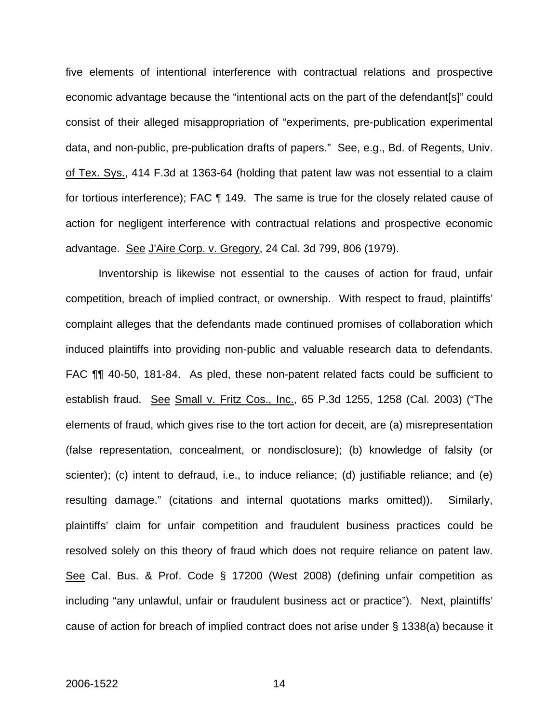five elements of intentional interference with contractual relations and prospective economic advantage because the "intentional acts on the part of the defendant[s]" could consist of their alleged misappropriation of "experiments, pre-publication experimental data, and non-public, pre-publication drafts of papers." See, e.g., Bd. of Regents, Univ. of Tex. Sys., 414 F.3d at 1363-64 (holding that patent law was not essential to a claim for tortious interference); FAC ¶ 149. The same is true for the closely related cause of action for negligent interference with contractual relations and prospective economic advantage. See J'Aire Corp. v. Gregory, 24 Cal. 3d 799, 806 (1979).

 Inventorship is likewise not essential to the causes of action for fraud, unfair competition, breach of implied contract, or ownership. With respect to fraud, plaintiffs' complaint alleges that the defendants made continued promises of collaboration which induced plaintiffs into providing non-public and valuable research data to defendants. FAC ¶¶ 40-50, 181-84. As pled, these non-patent related facts could be sufficient to establish fraud. See Small v. Fritz Cos., Inc., 65 P.3d 1255, 1258 (Cal. 2003) ("The elements of fraud, which gives rise to the tort action for deceit, are (a) misrepresentation (false representation, concealment, or nondisclosure); (b) knowledge of falsity (or scienter); (c) intent to defraud, i.e., to induce reliance; (d) justifiable reliance; and (e) resulting damage." (citations and internal quotations marks omitted)). Similarly, plaintiffs' claim for unfair competition and fraudulent business practices could be resolved solely on this theory of fraud which does not require reliance on patent law. See Cal. Bus. & Prof. Code § 17200 (West 2008) (defining unfair competition as including "any unlawful, unfair or fraudulent business act or practice"). Next, plaintiffs' cause of action for breach of implied contract does not arise under § 1338(a) because it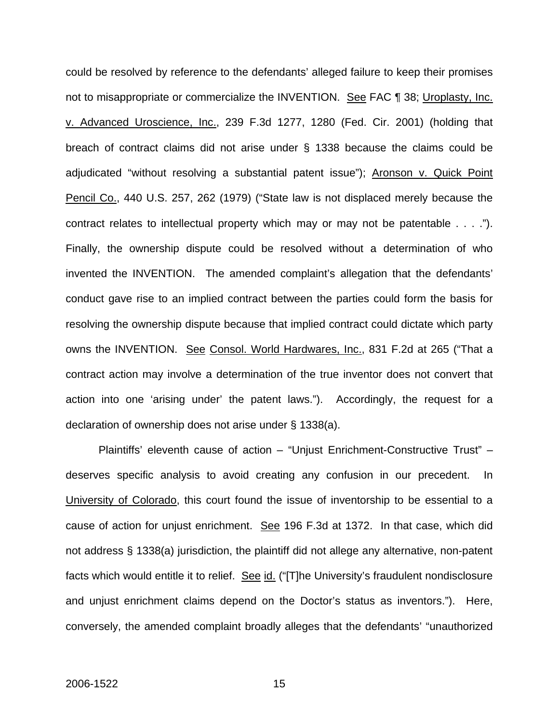could be resolved by reference to the defendants' alleged failure to keep their promises not to misappropriate or commercialize the INVENTION. See FAC ¶ 38; Uroplasty, Inc. v. Advanced Uroscience, Inc., 239 F.3d 1277, 1280 (Fed. Cir. 2001) (holding that breach of contract claims did not arise under § 1338 because the claims could be adjudicated "without resolving a substantial patent issue"); Aronson v. Quick Point Pencil Co., 440 U.S. 257, 262 (1979) ("State law is not displaced merely because the contract relates to intellectual property which may or may not be patentable . . . ."). Finally, the ownership dispute could be resolved without a determination of who invented the INVENTION. The amended complaint's allegation that the defendants' conduct gave rise to an implied contract between the parties could form the basis for resolving the ownership dispute because that implied contract could dictate which party owns the INVENTION. See Consol. World Hardwares, Inc., 831 F.2d at 265 ("That a contract action may involve a determination of the true inventor does not convert that action into one 'arising under' the patent laws."). Accordingly, the request for a declaration of ownership does not arise under § 1338(a).

 Plaintiffs' eleventh cause of action – "Unjust Enrichment-Constructive Trust" – deserves specific analysis to avoid creating any confusion in our precedent. In University of Colorado, this court found the issue of inventorship to be essential to a cause of action for unjust enrichment. See 196 F.3d at 1372. In that case, which did not address § 1338(a) jurisdiction, the plaintiff did not allege any alternative, non-patent facts which would entitle it to relief. See id. ("[T]he University's fraudulent nondisclosure and unjust enrichment claims depend on the Doctor's status as inventors."). Here, conversely, the amended complaint broadly alleges that the defendants' "unauthorized